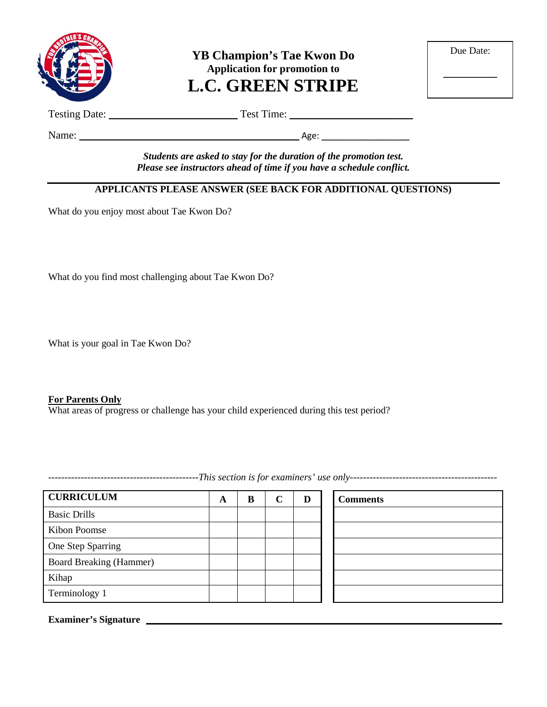

**YB Champion's Tae Kwon Do Application for promotion to L.C. GREEN STRIPE**

| Due Date: |  |
|-----------|--|
|           |  |

Testing Date: \_\_\_\_\_\_\_\_\_\_\_\_\_\_\_\_\_\_\_\_\_\_\_\_ Test Time: \_\_\_\_\_\_\_\_\_\_\_\_\_\_\_\_\_\_\_\_\_\_\_

Name: \_\_\_\_\_\_\_\_\_\_\_\_\_\_\_\_\_\_\_\_\_\_\_\_\_\_\_\_\_\_\_\_\_\_\_\_\_\_\_\_\_ Age: \_\_\_\_\_\_\_\_\_\_\_\_\_\_\_\_\_\_

*Students are asked to stay for the duration of the promotion test. Please see instructors ahead of time if you have a schedule conflict.*

## **APPLICANTS PLEASE ANSWER (SEE BACK FOR ADDITIONAL QUESTIONS)**

What do you enjoy most about Tae Kwon Do?

What do you find most challenging about Tae Kwon Do?

What is your goal in Tae Kwon Do?

#### **For Parents Only**

What areas of progress or challenge has your child experienced during this test period?

**CURRICULUM A B C D Comments** Basic Drills Kibon Poomse One Step Sparring Board Breaking (Hammer) Kihap Terminology 1

**Examiner's Signature**

----------------------------------------------*This section is for examiners' use only---------------------------------------------*